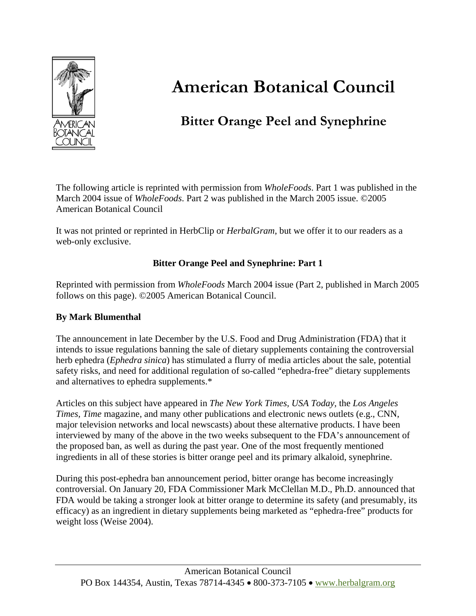

# **American Botanical Council**

# **Bitter Orange Peel and Synephrine**

The following article is reprinted with permission from *WholeFoods*. Part 1 was published in the March 2004 issue of *WholeFoods*. Part 2 was published in the March 2005 issue. ©2005 American Botanical Council

It was not printed or reprinted in HerbClip or *HerbalGram*, but we offer it to our readers as a web-only exclusive.

# **Bitter Orange Peel and Synephrine: Part 1**

Reprinted with permission from *WholeFoods* March 2004 issue (Part 2, published in March 2005 follows on this page). ©2005 American Botanical Council.

## **By Mark Blumenthal**

The announcement in late December by the U.S. Food and Drug Administration (FDA) that it intends to issue regulations banning the sale of dietary supplements containing the controversial herb ephedra (*Ephedra sinica*) has stimulated a flurry of media articles about the sale, potential safety risks, and need for additional regulation of so-called "ephedra-free" dietary supplements and alternatives to ephedra supplements.\*

Articles on this subject have appeared in *The New York Times, USA Today,* the *Los Angeles Times, Time* magazine, and many other publications and electronic news outlets (e.g., CNN, major television networks and local newscasts) about these alternative products. I have been interviewed by many of the above in the two weeks subsequent to the FDA's announcement of the proposed ban, as well as during the past year. One of the most frequently mentioned ingredients in all of these stories is bitter orange peel and its primary alkaloid, synephrine.

During this post-ephedra ban announcement period, bitter orange has become increasingly controversial. On January 20, FDA Commissioner Mark McClellan M.D., Ph.D. announced that FDA would be taking a stronger look at bitter orange to determine its safety (and presumably, its efficacy) as an ingredient in dietary supplements being marketed as "ephedra-free" products for weight loss (Weise 2004).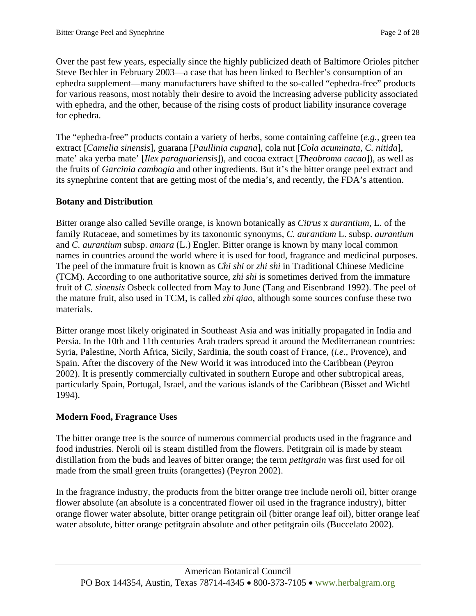Over the past few years, especially since the highly publicized death of Baltimore Orioles pitcher Steve Bechler in February 2003—a case that has been linked to Bechler's consumption of an ephedra supplement—many manufacturers have shifted to the so-called "ephedra-free" products for various reasons, most notably their desire to avoid the increasing adverse publicity associated with ephedra, and the other, because of the rising costs of product liability insurance coverage for ephedra.

The "ephedra-free" products contain a variety of herbs, some containing caffeine (*e.g.,* green tea extract [*Camelia sinensis*], guarana [*Paullinia cupana*], cola nut [*Cola acuminata, C. nitida*], mate' aka yerba mate' [*Ilex paraguariensis*]), and cocoa extract [*Theobroma cacao*]), as well as the fruits of *Garcinia cambogia* and other ingredients. But it's the bitter orange peel extract and its synephrine content that are getting most of the media's, and recently, the FDA's attention.

#### **Botany and Distribution**

Bitter orange also called Seville orange, is known botanically as *Citrus* x *aurantium*, L. of the family Rutaceae, and sometimes by its taxonomic synonyms, *C. aurantium* L. subsp. *aurantium* and *C. aurantium* subsp. *amara* (L.) Engler. Bitter orange is known by many local common names in countries around the world where it is used for food, fragrance and medicinal purposes. The peel of the immature fruit is known as *Chi shi* or *zhi shi* in Traditional Chinese Medicine (TCM). According to one authoritative source, *zhi shi* is sometimes derived from the immature fruit of *C. sinensis* Osbeck collected from May to June (Tang and Eisenbrand 1992). The peel of the mature fruit, also used in TCM, is called *zhi qiao*, although some sources confuse these two materials.

Bitter orange most likely originated in Southeast Asia and was initially propagated in India and Persia. In the 10th and 11th centuries Arab traders spread it around the Mediterranean countries: Syria, Palestine, North Africa, Sicily, Sardinia, the south coast of France, (*i.e.,* Provence), and Spain. After the discovery of the New World it was introduced into the Caribbean (Peyron 2002). It is presently commercially cultivated in southern Europe and other subtropical areas, particularly Spain, Portugal, Israel, and the various islands of the Caribbean (Bisset and Wichtl 1994).

## **Modern Food, Fragrance Uses**

The bitter orange tree is the source of numerous commercial products used in the fragrance and food industries. Neroli oil is steam distilled from the flowers. Petitgrain oil is made by steam distillation from the buds and leaves of bitter orange; the term *petitgrain* was first used for oil made from the small green fruits (orangettes) (Peyron 2002).

In the fragrance industry, the products from the bitter orange tree include neroli oil, bitter orange flower absolute (an absolute is a concentrated flower oil used in the fragrance industry), bitter orange flower water absolute, bitter orange petitgrain oil (bitter orange leaf oil), bitter orange leaf water absolute, bitter orange petitgrain absolute and other petitgrain oils (Buccelato 2002).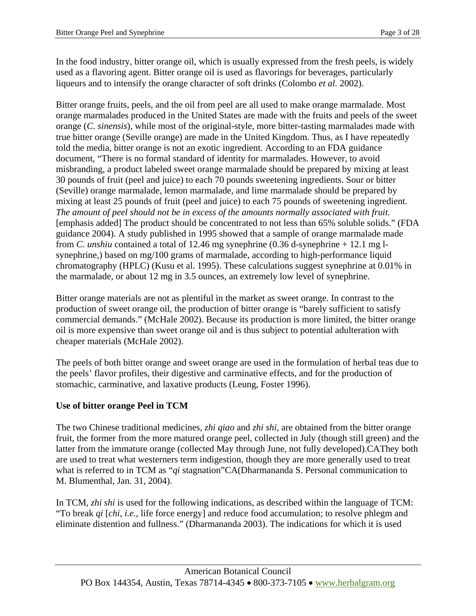In the food industry, bitter orange oil, which is usually expressed from the fresh peels, is widely used as a flavoring agent. Bitter orange oil is used as flavorings for beverages, particularly liqueurs and to intensify the orange character of soft drinks (Colombo *et al.* 2002).

Bitter orange fruits, peels, and the oil from peel are all used to make orange marmalade. Most orange marmalades produced in the United States are made with the fruits and peels of the sweet orange (*C. sinensis*), while most of the original-style, more bitter-tasting marmalades made with true bitter orange (Seville orange) are made in the United Kingdom. Thus, as I have repeatedly told the media, bitter orange is not an exotic ingredient. According to an FDA guidance document, "There is no formal standard of identity for marmalades. However, to avoid misbranding, a product labeled sweet orange marmalade should be prepared by mixing at least 30 pounds of fruit (peel and juice) to each 70 pounds sweetening ingredients. Sour or bitter (Seville) orange marmalade, lemon marmalade, and lime marmalade should be prepared by mixing at least 25 pounds of fruit (peel and juice) to each 75 pounds of sweetening ingredient. *The amount of peel should not be in excess of the amounts normally associated with fruit.*  [emphasis added] The product should be concentrated to not less than 65% soluble solids." (FDA guidance 2004). A study published in 1995 showed that a sample of orange marmalade made from *C. unshiu* contained a total of 12.46 mg synephrine (0.36 d-synephrine + 12.1 mg lsynephrine,) based on mg/100 grams of marmalade, according to high-performance liquid chromatography (HPLC) (Kusu et al. 1995). These calculations suggest synephrine at 0.01% in the marmalade, or about 12 mg in 3.5 ounces, an extremely low level of synephrine.

Bitter orange materials are not as plentiful in the market as sweet orange. In contrast to the production of sweet orange oil, the production of bitter orange is "barely sufficient to satisfy commercial demands." (McHale 2002). Because its production is more limited, the bitter orange oil is more expensive than sweet orange oil and is thus subject to potential adulteration with cheaper materials (McHale 2002).

The peels of both bitter orange and sweet orange are used in the formulation of herbal teas due to the peels' flavor profiles, their digestive and carminative effects, and for the production of stomachic, carminative, and laxative products (Leung, Foster 1996).

## **Use of bitter orange Peel in TCM**

The two Chinese traditional medicines, *zhi qiao* and *zhi shi*, are obtained from the bitter orange fruit, the former from the more matured orange peel, collected in July (though still green) and the latter from the immature orange (collected May through June, not fully developed).CAThey both are used to treat what westerners term indigestion, though they are more generally used to treat what is referred to in TCM as "*qi* stagnation"CA(Dharmananda S. Personal communication to M. Blumenthal, Jan. 31, 2004).

In TCM, *zhi shi* is used for the following indications, as described within the language of TCM: "To break *qi* [*chi*, *i.e.,* life force energy] and reduce food accumulation; to resolve phlegm and eliminate distention and fullness." (Dharmananda 2003). The indications for which it is used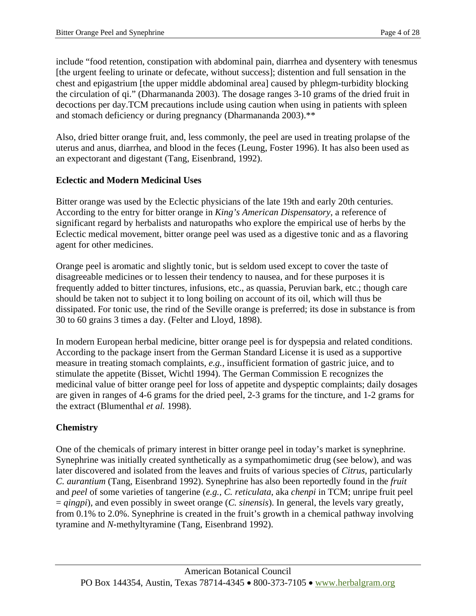include "food retention, constipation with abdominal pain, diarrhea and dysentery with tenesmus [the urgent feeling to urinate or defecate, without success]; distention and full sensation in the chest and epigastrium [the upper middle abdominal area] caused by phlegm-turbidity blocking the circulation of qi." (Dharmananda 2003). The dosage ranges 3-10 grams of the dried fruit in decoctions per day.TCM precautions include using caution when using in patients with spleen and stomach deficiency or during pregnancy (Dharmananda 2003).\*\*

Also, dried bitter orange fruit, and, less commonly, the peel are used in treating prolapse of the uterus and anus, diarrhea, and blood in the feces (Leung, Foster 1996). It has also been used as an expectorant and digestant (Tang, Eisenbrand, 1992).

## **Eclectic and Modern Medicinal Uses**

Bitter orange was used by the Eclectic physicians of the late 19th and early 20th centuries. According to the entry for bitter orange in *King's American Dispensatory*, a reference of significant regard by herbalists and naturopaths who explore the empirical use of herbs by the Eclectic medical movement, bitter orange peel was used as a digestive tonic and as a flavoring agent for other medicines.

Orange peel is aromatic and slightly tonic, but is seldom used except to cover the taste of disagreeable medicines or to lessen their tendency to nausea, and for these purposes it is frequently added to bitter tinctures, infusions, etc., as quassia, Peruvian bark, etc.; though care should be taken not to subject it to long boiling on account of its oil, which will thus be dissipated. For tonic use, the rind of the Seville orange is preferred; its dose in substance is from 30 to 60 grains 3 times a day. (Felter and Lloyd, 1898).

In modern European herbal medicine, bitter orange peel is for dyspepsia and related conditions. According to the package insert from the German Standard License it is used as a supportive measure in treating stomach complaints, *e.g.,* insufficient formation of gastric juice, and to stimulate the appetite (Bisset, Wichtl 1994). The German Commission E recognizes the medicinal value of bitter orange peel for loss of appetite and dyspeptic complaints; daily dosages are given in ranges of 4-6 grams for the dried peel, 2-3 grams for the tincture, and 1-2 grams for the extract (Blumenthal *et al.* 1998).

# **Chemistry**

One of the chemicals of primary interest in bitter orange peel in today's market is synephrine. Synephrine was initially created synthetically as a sympathomimetic drug (see below), and was later discovered and isolated from the leaves and fruits of various species of *Citrus*, particularly *C. aurantium* (Tang, Eisenbrand 1992). Synephrine has also been reportedly found in the *fruit*  and *peel* of some varieties of tangerine (*e.g., C. reticulata*, aka *chenpi* in TCM; unripe fruit peel = *qingpi*)*,* and even possibly in sweet orange (*C. sinensis*). In general, the levels vary greatly, from 0.1% to 2.0%. Synephrine is created in the fruit's growth in a chemical pathway involving tyramine and *N*-methyltyramine (Tang, Eisenbrand 1992).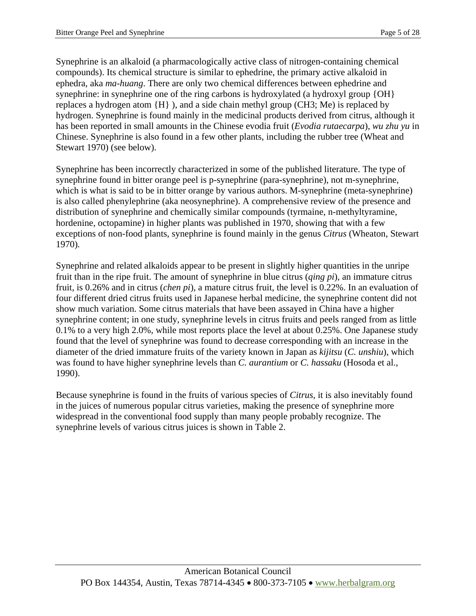Synephrine is an alkaloid (a pharmacologically active class of nitrogen-containing chemical compounds). Its chemical structure is similar to ephedrine, the primary active alkaloid in ephedra, aka *ma-huang*. There are only two chemical differences between ephedrine and synephrine: in synephrine one of the ring carbons is hydroxylated (a hydroxyl group {OH} replaces a hydrogen atom {H} ), and a side chain methyl group (CH3; Me) is replaced by hydrogen. Synephrine is found mainly in the medicinal products derived from citrus, although it has been reported in small amounts in the Chinese evodia fruit (*Evodia rutaecarpa*), *wu zhu yu* in Chinese. Synephrine is also found in a few other plants, including the rubber tree (Wheat and Stewart 1970) (see below).

Synephrine has been incorrectly characterized in some of the published literature. The type of synephrine found in bitter orange peel is p-synephrine (para-synephrine), not m-synephrine, which is what is said to be in bitter orange by various authors. M-synephrine (meta-synephrine) is also called phenylephrine (aka neosynephrine). A comprehensive review of the presence and distribution of synephrine and chemically similar compounds (tyrmaine, n-methyltyramine, hordenine, octopamine) in higher plants was published in 1970, showing that with a few exceptions of non-food plants, synephrine is found mainly in the genus *Citrus* (Wheaton, Stewart 1970)*.* 

Synephrine and related alkaloids appear to be present in slightly higher quantities in the unripe fruit than in the ripe fruit. The amount of synephrine in blue citrus (*qing pi*), an immature citrus fruit, is 0.26% and in citrus (*chen pi*), a mature citrus fruit, the level is 0.22%. In an evaluation of four different dried citrus fruits used in Japanese herbal medicine, the synephrine content did not show much variation. Some citrus materials that have been assayed in China have a higher synephrine content; in one study, synephrine levels in citrus fruits and peels ranged from as little 0.1% to a very high 2.0%, while most reports place the level at about 0.25%. One Japanese study found that the level of synephrine was found to decrease corresponding with an increase in the diameter of the dried immature fruits of the variety known in Japan as *kijitsu* (*C. unshiu*), which was found to have higher synephrine levels than *C. aurantium* or *C. hassaku* (Hosoda et al., 1990).

Because synephrine is found in the fruits of various species of *Citrus,* it is also inevitably found in the juices of numerous popular citrus varieties, making the presence of synephrine more widespread in the conventional food supply than many people probably recognize. The synephrine levels of various citrus juices is shown in Table 2.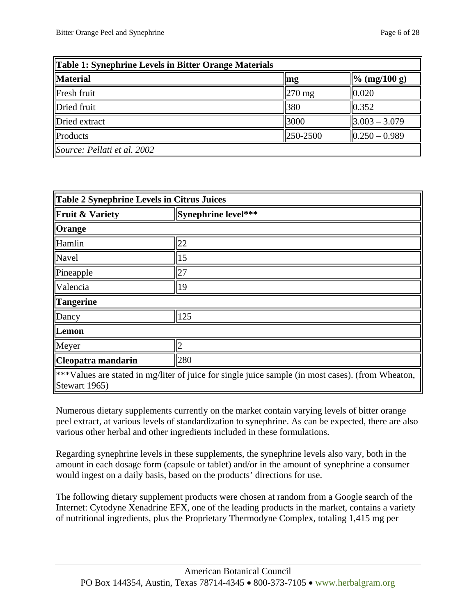| Table 1: Synephrine Levels in Bitter Orange Materials |                  |                           |
|-------------------------------------------------------|------------------|---------------------------|
| <b>Material</b>                                       | mg               | $\frac{9}{6}$ (mg/100 g)  |
| Fresh fruit                                           | $270$ mg         | 0.020                     |
| Dried fruit                                           | 380              | 0.352                     |
| Dried extract                                         | 3000             | $\ 3.003 - 3.079\ $       |
| Products                                              | $\ 250 - 2500\ $ | $\parallel$ 0.250 - 0.989 |
| Source: Pellati et al. 2002                           |                  |                           |

| Table 2 Synephrine Levels in Citrus Juices                                                        |                     |  |
|---------------------------------------------------------------------------------------------------|---------------------|--|
| <b>Fruit &amp; Variety</b>                                                                        | Synephrine level*** |  |
| <b>Orange</b>                                                                                     |                     |  |
| Hamlin                                                                                            | 22                  |  |
| Navel                                                                                             | 15                  |  |
| Pineapple                                                                                         | 27                  |  |
| Valencia                                                                                          | 19                  |  |
| Tangerine                                                                                         |                     |  |
| Dancy                                                                                             | 125                 |  |
| Lemon                                                                                             |                     |  |
| Meyer                                                                                             |                     |  |
| Cleopatra mandarin                                                                                | 280                 |  |
| ***Values are stated in mg/liter of juice for single juice sample (in most cases). (from Wheaton, |                     |  |

Stewart 1965)

Numerous dietary supplements currently on the market contain varying levels of bitter orange peel extract, at various levels of standardization to synephrine. As can be expected, there are also various other herbal and other ingredients included in these formulations.

Regarding synephrine levels in these supplements, the synephrine levels also vary, both in the amount in each dosage form (capsule or tablet) and/or in the amount of synephrine a consumer would ingest on a daily basis, based on the products' directions for use.

The following dietary supplement products were chosen at random from a Google search of the Internet: Cytodyne Xenadrine EFX, one of the leading products in the market, contains a variety of nutritional ingredients, plus the Proprietary Thermodyne Complex, totaling 1,415 mg per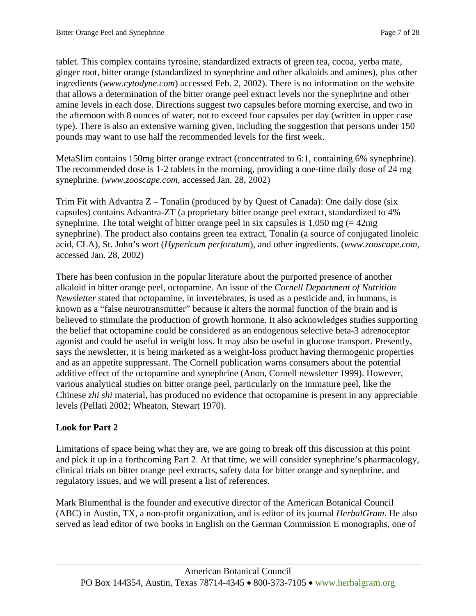tablet. This complex contains tyrosine, standardized extracts of green tea, cocoa, yerba mate, ginger root, bitter orange (standardized to synephrine and other alkaloids and amines), plus other ingredients (*www.cytodyne.com*) accessed Feb. 2, 2002). There is no information on the website that allows a determination of the bitter orange peel extract levels nor the synephrine and other amine levels in each dose. Directions suggest two capsules before morning exercise, and two in the afternoon with 8 ounces of water, not to exceed four capsules per day (written in upper case type). There is also an extensive warning given, including the suggestion that persons under 150 pounds may want to use half the recommended levels for the first week.

MetaSlim contains 150mg bitter orange extract (concentrated to 6:1, containing 6% synephrine). The recommended dose is 1-2 tablets in the morning, providing a one-time daily dose of 24 mg synephrine. (*www.zooscape.com*, accessed Jan. 28, 2002)

Trim Fit with Advantra  $Z -$  Tonalin (produced by by Quest of Canada): One daily dose (six capsules) contains Advantra-ZT (a proprietary bitter orange peel extract, standardized to 4% synephrine. The total weight of bitter orange peel in six capsules is  $1,050$  mg (=  $42$ mg) synephrine). The product also contains green tea extract, Tonalin (a source of conjugated linoleic acid, CLA), St. John's wort (*Hypericum perforatum*), and other ingredients. (*www.zooscape.com*, accessed Jan. 28, 2002)

There has been confusion in the popular literature about the purported presence of another alkaloid in bitter orange peel, octopamine. An issue of the *Cornell Department of Nutrition Newsletter* stated that octopamine, in invertebrates, is used as a pesticide and, in humans, is known as a "false neurotransmitter" because it alters the normal function of the brain and is believed to stimulate the production of growth hormone. It also acknowledges studies supporting the belief that octopamine could be considered as an endogenous selective beta-3 adrenoceptor agonist and could be useful in weight loss. It may also be useful in glucose transport. Presently, says the newsletter, it is being marketed as a weight-loss product having thermogenic properties and as an appetite suppressant. The Cornell publication warns consumers about the potential additive effect of the octopamine and synephrine (Anon, Cornell newsletter 1999). However, various analytical studies on bitter orange peel, particularly on the immature peel, like the Chinese *zhi shi* material, has produced no evidence that octopamine is present in any appreciable levels (Pellati 2002; Wheaton, Stewart 1970).

## **Look for Part 2**

Limitations of space being what they are, we are going to break off this discussion at this point and pick it up in a forthcoming Part 2. At that time, we will consider synephrine's pharmacology, clinical trials on bitter orange peel extracts, safety data for bitter orange and synephrine, and regulatory issues, and we will present a list of references.

Mark Blumenthal is the founder and executive director of the American Botanical Council (ABC) in Austin, TX, a non-profit organization, and is editor of its journal *HerbalGram*. He also served as lead editor of two books in English on the German Commission E monographs, one of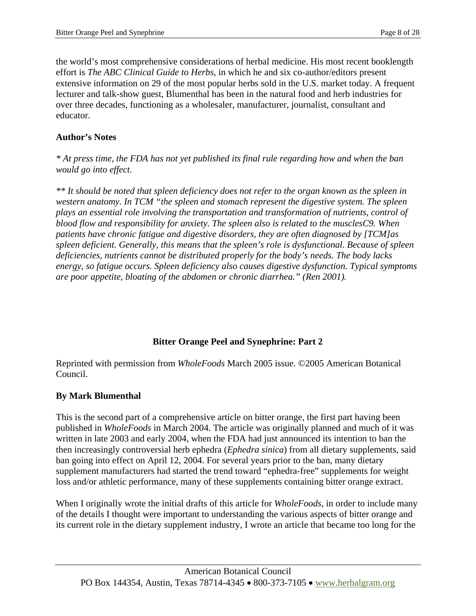the world's most comprehensive considerations of herbal medicine. His most recent booklength effort is *The ABC Clinical Guide to Herbs*, in which he and six co-author/editors present extensive information on 29 of the most popular herbs sold in the U.S. market today. A frequent lecturer and talk-show guest, Blumenthal has been in the natural food and herb industries for over three decades, functioning as a wholesaler, manufacturer, journalist, consultant and educator.

#### **Author's Notes**

*\* At press time, the FDA has not yet published its final rule regarding how and when the ban would go into effect.* 

*\*\* It should be noted that spleen deficiency does not refer to the organ known as the spleen in western anatomy. In TCM "the spleen and stomach represent the digestive system. The spleen plays an essential role involving the transportation and transformation of nutrients, control of blood flow and responsibility for anxiety. The spleen also is related to the musclesC9. When patients have chronic fatigue and digestive disorders, they are often diagnosed by [TCM]as spleen deficient. Generally, this means that the spleen's role is dysfunctional. Because of spleen deficiencies, nutrients cannot be distributed properly for the body's needs. The body lacks energy, so fatigue occurs. Spleen deficiency also causes digestive dysfunction. Typical symptoms are poor appetite, bloating of the abdomen or chronic diarrhea." (Ren 2001).*

## **Bitter Orange Peel and Synephrine: Part 2**

Reprinted with permission from *WholeFoods* March 2005 issue. ©2005 American Botanical Council.

## **By Mark Blumenthal**

This is the second part of a comprehensive article on bitter orange, the first part having been published in *WholeFoods* in March 2004. The article was originally planned and much of it was written in late 2003 and early 2004, when the FDA had just announced its intention to ban the then increasingly controversial herb ephedra (*Ephedra sinica*) from all dietary supplements, said ban going into effect on April 12, 2004. For several years prior to the ban, many dietary supplement manufacturers had started the trend toward "ephedra-free" supplements for weight loss and/or athletic performance, many of these supplements containing bitter orange extract.

When I originally wrote the initial drafts of this article for *WholeFoods*, in order to include many of the details I thought were important to understanding the various aspects of bitter orange and its current role in the dietary supplement industry, I wrote an article that became too long for the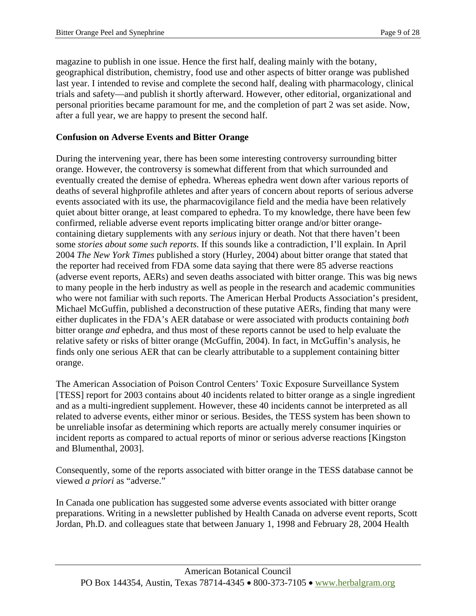magazine to publish in one issue. Hence the first half, dealing mainly with the botany, geographical distribution, chemistry, food use and other aspects of bitter orange was published last year. I intended to revise and complete the second half, dealing with pharmacology, clinical trials and safety—and publish it shortly afterward. However, other editorial, organizational and personal priorities became paramount for me, and the completion of part 2 was set aside. Now, after a full year, we are happy to present the second half.

#### **Confusion on Adverse Events and Bitter Orange**

During the intervening year, there has been some interesting controversy surrounding bitter orange. However, the controversy is somewhat different from that which surrounded and eventually created the demise of ephedra. Whereas ephedra went down after various reports of deaths of several highprofile athletes and after years of concern about reports of serious adverse events associated with its use, the pharmacovigilance field and the media have been relatively quiet about bitter orange, at least compared to ephedra. To my knowledge, there have been few confirmed, reliable adverse event reports implicating bitter orange and/or bitter orangecontaining dietary supplements with any *serious* injury or death. Not that there haven't been some *stories about some such reports*. If this sounds like a contradiction, I'll explain. In April 2004 *The New York Times* published a story (Hurley, 2004) about bitter orange that stated that the reporter had received from FDA some data saying that there were 85 adverse reactions (adverse event reports, AERs) and seven deaths associated with bitter orange. This was big news to many people in the herb industry as well as people in the research and academic communities who were not familiar with such reports. The American Herbal Products Association's president, Michael McGuffin, published a deconstruction of these putative AERs, finding that many were either duplicates in the FDA's AER database or were associated with products containing *both*  bitter orange *and* ephedra, and thus most of these reports cannot be used to help evaluate the relative safety or risks of bitter orange (McGuffin, 2004). In fact, in McGuffin's analysis, he finds only one serious AER that can be clearly attributable to a supplement containing bitter orange.

The American Association of Poison Control Centers' Toxic Exposure Surveillance System [TESS] report for 2003 contains about 40 incidents related to bitter orange as a single ingredient and as a multi-ingredient supplement. However, these 40 incidents cannot be interpreted as all related to adverse events, either minor or serious. Besides, the TESS system has been shown to be unreliable insofar as determining which reports are actually merely consumer inquiries or incident reports as compared to actual reports of minor or serious adverse reactions [Kingston and Blumenthal, 2003].

Consequently, some of the reports associated with bitter orange in the TESS database cannot be viewed *a priori* as "adverse."

In Canada one publication has suggested some adverse events associated with bitter orange preparations. Writing in a newsletter published by Health Canada on adverse event reports, Scott Jordan, Ph.D. and colleagues state that between January 1, 1998 and February 28, 2004 Health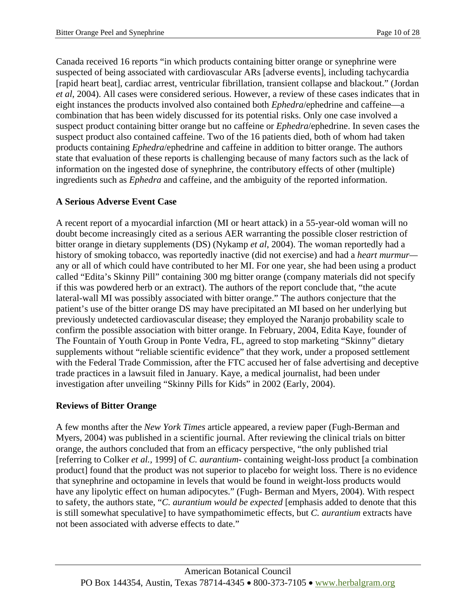Canada received 16 reports "in which products containing bitter orange or synephrine were suspected of being associated with cardiovascular ARs [adverse events], including tachycardia [rapid heart beat], cardiac arrest, ventricular fibrillation, transient collapse and blackout." (Jordan *et al*, 2004). All cases were considered serious. However, a review of these cases indicates that in eight instances the products involved also contained both *Ephedra*/ephedrine and caffeine—a combination that has been widely discussed for its potential risks. Only one case involved a suspect product containing bitter orange but no caffeine or *Ephedra*/ephedrine. In seven cases the suspect product also contained caffeine. Two of the 16 patients died, both of whom had taken products containing *Ephedra*/ephedrine and caffeine in addition to bitter orange. The authors state that evaluation of these reports is challenging because of many factors such as the lack of information on the ingested dose of synephrine, the contributory effects of other (multiple) ingredients such as *Ephedra* and caffeine, and the ambiguity of the reported information.

## **A Serious Adverse Event Case**

A recent report of a myocardial infarction (MI or heart attack) in a 55-year-old woman will no doubt become increasingly cited as a serious AER warranting the possible closer restriction of bitter orange in dietary supplements (DS) (Nykamp *et al*, 2004). The woman reportedly had a history of smoking tobacco, was reportedly inactive (did not exercise) and had a *heart murmur* any or all of which could have contributed to her MI. For one year, she had been using a product called "Edita's Skinny Pill" containing 300 mg bitter orange (company materials did not specify if this was powdered herb or an extract). The authors of the report conclude that, "the acute lateral-wall MI was possibly associated with bitter orange." The authors conjecture that the patient's use of the bitter orange DS may have precipitated an MI based on her underlying but previously undetected cardiovascular disease; they employed the Naranjo probability scale to confirm the possible association with bitter orange. In February, 2004, Edita Kaye, founder of The Fountain of Youth Group in Ponte Vedra, FL, agreed to stop marketing "Skinny" dietary supplements without "reliable scientific evidence" that they work, under a proposed settlement with the Federal Trade Commission, after the FTC accused her of false advertising and deceptive trade practices in a lawsuit filed in January. Kaye, a medical journalist, had been under investigation after unveiling "Skinny Pills for Kids" in 2002 (Early, 2004).

## **Reviews of Bitter Orange**

A few months after the *New York Times* article appeared, a review paper (Fugh-Berman and Myers, 2004) was published in a scientific journal. After reviewing the clinical trials on bitter orange, the authors concluded that from an efficacy perspective, "the only published trial [referring to Colker *et al.,* 1999] of *C. aurantium*- containing weight-loss product [a combination product] found that the product was not superior to placebo for weight loss. There is no evidence that synephrine and octopamine in levels that would be found in weight-loss products would have any lipolytic effect on human adipocytes." (Fugh- Berman and Myers, 2004). With respect to safety, the authors state, "*C. aurantium would be expected* [emphasis added to denote that this is still somewhat speculative] to have sympathomimetic effects, but *C. aurantium* extracts have not been associated with adverse effects to date."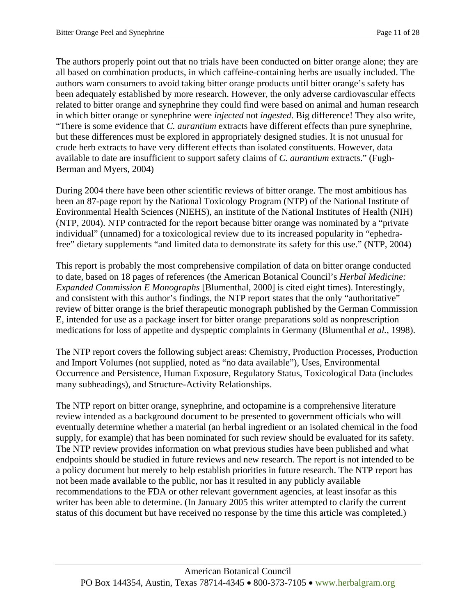The authors properly point out that no trials have been conducted on bitter orange alone; they are all based on combination products, in which caffeine-containing herbs are usually included. The authors warn consumers to avoid taking bitter orange products until bitter orange's safety has been adequately established by more research. However, the only adverse cardiovascular effects related to bitter orange and synephrine they could find were based on animal and human research in which bitter orange or synephrine were *injected* not *ingested*. Big difference! They also write, "There is some evidence that *C. aurantium* extracts have different effects than pure synephrine, but these differences must be explored in appropriately designed studies. It is not unusual for crude herb extracts to have very different effects than isolated constituents. However, data available to date are insufficient to support safety claims of *C. aurantium* extracts." (Fugh-Berman and Myers, 2004)

During 2004 there have been other scientific reviews of bitter orange. The most ambitious has been an 87-page report by the National Toxicology Program (NTP) of the National Institute of Environmental Health Sciences (NIEHS), an institute of the National Institutes of Health (NIH) (NTP, 2004). NTP contracted for the report because bitter orange was nominated by a "private individual" (unnamed) for a toxicological review due to its increased popularity in "ephedrafree" dietary supplements "and limited data to demonstrate its safety for this use." (NTP, 2004)

This report is probably the most comprehensive compilation of data on bitter orange conducted to date, based on 18 pages of references (the American Botanical Council's *Herbal Medicine: Expanded Commission E Monographs* [Blumenthal, 2000] is cited eight times). Interestingly, and consistent with this author's findings, the NTP report states that the only "authoritative" review of bitter orange is the brief therapeutic monograph published by the German Commission E, intended for use as a package insert for bitter orange preparations sold as nonprescription medications for loss of appetite and dyspeptic complaints in Germany (Blumenthal *et al.,* 1998).

The NTP report covers the following subject areas: Chemistry, Production Processes, Production and Import Volumes (not supplied, noted as "no data available"), Uses, Environmental Occurrence and Persistence, Human Exposure, Regulatory Status, Toxicological Data (includes many subheadings), and Structure-Activity Relationships.

The NTP report on bitter orange, synephrine, and octopamine is a comprehensive literature review intended as a background document to be presented to government officials who will eventually determine whether a material (an herbal ingredient or an isolated chemical in the food supply, for example) that has been nominated for such review should be evaluated for its safety. The NTP review provides information on what previous studies have been published and what endpoints should be studied in future reviews and new research. The report is not intended to be a policy document but merely to help establish priorities in future research. The NTP report has not been made available to the public, nor has it resulted in any publicly available recommendations to the FDA or other relevant government agencies, at least insofar as this writer has been able to determine. (In January 2005 this writer attempted to clarify the current status of this document but have received no response by the time this article was completed.)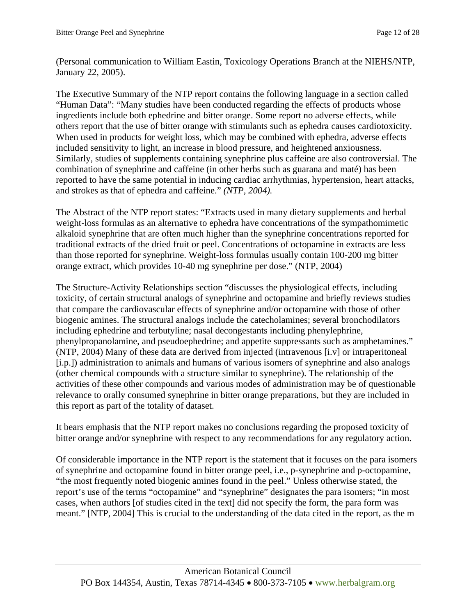(Personal communication to William Eastin, Toxicology Operations Branch at the NIEHS/NTP, January 22, 2005).

The Executive Summary of the NTP report contains the following language in a section called "Human Data": "Many studies have been conducted regarding the effects of products whose ingredients include both ephedrine and bitter orange. Some report no adverse effects, while others report that the use of bitter orange with stimulants such as ephedra causes cardiotoxicity. When used in products for weight loss, which may be combined with ephedra, adverse effects included sensitivity to light, an increase in blood pressure, and heightened anxiousness. Similarly, studies of supplements containing synephrine plus caffeine are also controversial. The combination of synephrine and caffeine (in other herbs such as guarana and maté) has been reported to have the same potential in inducing cardiac arrhythmias, hypertension, heart attacks, and strokes as that of ephedra and caffeine." *(NTP, 2004).*

The Abstract of the NTP report states: "Extracts used in many dietary supplements and herbal weight-loss formulas as an alternative to ephedra have concentrations of the sympathomimetic alkaloid synephrine that are often much higher than the synephrine concentrations reported for traditional extracts of the dried fruit or peel. Concentrations of octopamine in extracts are less than those reported for synephrine. Weight-loss formulas usually contain 100-200 mg bitter orange extract, which provides 10-40 mg synephrine per dose." (NTP, 2004)

The Structure-Activity Relationships section "discusses the physiological effects, including toxicity, of certain structural analogs of synephrine and octopamine and briefly reviews studies that compare the cardiovascular effects of synephrine and/or octopamine with those of other biogenic amines. The structural analogs include the catecholamines; several bronchodilators including ephedrine and terbutyline; nasal decongestants including phenylephrine, phenylpropanolamine, and pseudoephedrine; and appetite suppressants such as amphetamines." (NTP, 2004) Many of these data are derived from injected (intravenous [i.v] or intraperitoneal [i.p.]) administration to animals and humans of various isomers of synephrine and also analogs (other chemical compounds with a structure similar to synephrine). The relationship of the activities of these other compounds and various modes of administration may be of questionable relevance to orally consumed synephrine in bitter orange preparations, but they are included in this report as part of the totality of dataset.

It bears emphasis that the NTP report makes no conclusions regarding the proposed toxicity of bitter orange and/or synephrine with respect to any recommendations for any regulatory action.

Of considerable importance in the NTP report is the statement that it focuses on the para isomers of synephrine and octopamine found in bitter orange peel, i.e., p-synephrine and p-octopamine, "the most frequently noted biogenic amines found in the peel." Unless otherwise stated, the report's use of the terms "octopamine" and "synephrine" designates the para isomers; "in most cases, when authors [of studies cited in the text] did not specify the form, the para form was meant." [NTP, 2004] This is crucial to the understanding of the data cited in the report, as the m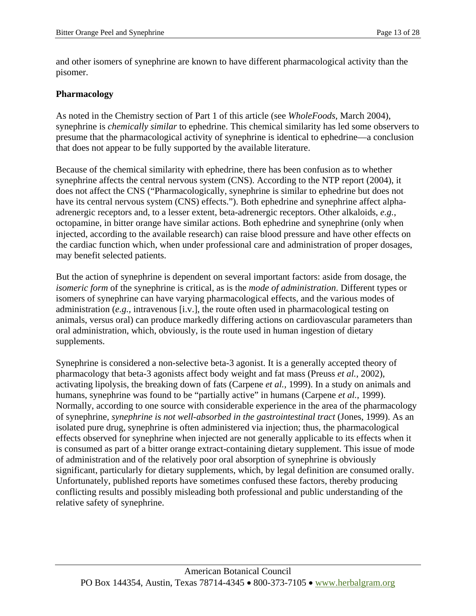and other isomers of synephrine are known to have different pharmacological activity than the pisomer.

#### **Pharmacology**

As noted in the Chemistry section of Part 1 of this article (see *WholeFoods*, March 2004), synephrine is *chemically similar* to ephedrine. This chemical similarity has led some observers to presume that the pharmacological activity of synephrine is identical to ephedrine—a conclusion that does not appear to be fully supported by the available literature.

Because of the chemical similarity with ephedrine, there has been confusion as to whether synephrine affects the central nervous system (CNS). According to the NTP report (2004), it does not affect the CNS ("Pharmacologically, synephrine is similar to ephedrine but does not have its central nervous system (CNS) effects."). Both ephedrine and synephrine affect alphaadrenergic receptors and, to a lesser extent, beta-adrenergic receptors. Other alkaloids, *e.g.*, octopamine, in bitter orange have similar actions. Both ephedrine and synephrine (only when injected, according to the available research) can raise blood pressure and have other effects on the cardiac function which, when under professional care and administration of proper dosages, may benefit selected patients.

But the action of synephrine is dependent on several important factors: aside from dosage, the *isomeric form* of the synephrine is critical, as is the *mode of administration*. Different types or isomers of synephrine can have varying pharmacological effects, and the various modes of administration (*e.g.,* intravenous [i.v.], the route often used in pharmacological testing on animals, versus oral) can produce markedly differing actions on cardiovascular parameters than oral administration, which, obviously, is the route used in human ingestion of dietary supplements.

Synephrine is considered a non-selective beta-3 agonist. It is a generally accepted theory of pharmacology that beta-3 agonists affect body weight and fat mass (Preuss *et al.,* 2002), activating lipolysis, the breaking down of fats (Carpene *et al.,* 1999). In a study on animals and humans, synephrine was found to be "partially active" in humans (Carpene *et al.,* 1999). Normally, according to one source with considerable experience in the area of the pharmacology of synephrine, *synephrine is not well-absorbed in the gastrointestinal tract* (Jones, 1999). As an isolated pure drug, synephrine is often administered via injection; thus, the pharmacological effects observed for synephrine when injected are not generally applicable to its effects when it is consumed as part of a bitter orange extract-containing dietary supplement. This issue of mode of administration and of the relatively poor oral absorption of synephrine is obviously significant, particularly for dietary supplements, which, by legal definition are consumed orally. Unfortunately, published reports have sometimes confused these factors, thereby producing conflicting results and possibly misleading both professional and public understanding of the relative safety of synephrine.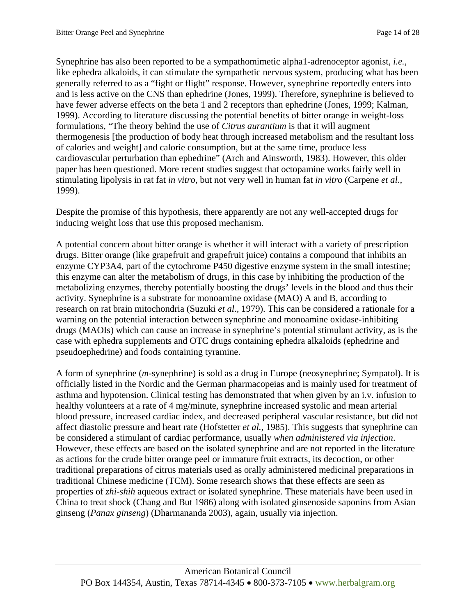Synephrine has also been reported to be a sympathomimetic alpha1-adrenoceptor agonist, *i.e.,*  like ephedra alkaloids, it can stimulate the sympathetic nervous system, producing what has been generally referred to as a "fight or flight" response. However, synephrine reportedly enters into and is less active on the CNS than ephedrine (Jones, 1999). Therefore, synephrine is believed to have fewer adverse effects on the beta 1 and 2 receptors than ephedrine (Jones, 1999; Kalman, 1999). According to literature discussing the potential benefits of bitter orange in weight-loss formulations, "The theory behind the use of *Citrus aurantium* is that it will augment thermogenesis [the production of body heat through increased metabolism and the resultant loss of calories and weight] and calorie consumption, but at the same time, produce less cardiovascular perturbation than ephedrine" (Arch and Ainsworth, 1983). However, this older paper has been questioned. More recent studies suggest that octopamine works fairly well in stimulating lipolysis in rat fat *in vitro*, but not very well in human fat *in vitro* (Carpene *et al*., 1999).

Despite the promise of this hypothesis, there apparently are not any well-accepted drugs for inducing weight loss that use this proposed mechanism.

A potential concern about bitter orange is whether it will interact with a variety of prescription drugs. Bitter orange (like grapefruit and grapefruit juice) contains a compound that inhibits an enzyme CYP3A4, part of the cytochrome P450 digestive enzyme system in the small intestine; this enzyme can alter the metabolism of drugs, in this case by inhibiting the production of the metabolizing enzymes, thereby potentially boosting the drugs' levels in the blood and thus their activity. Synephrine is a substrate for monoamine oxidase (MAO) A and B, according to research on rat brain mitochondria (Suzuki *et al.,* 1979). This can be considered a rationale for a warning on the potential interaction between synephrine and monoamine oxidase-inhibiting drugs (MAOIs) which can cause an increase in synephrine's potential stimulant activity, as is the case with ephedra supplements and OTC drugs containing ephedra alkaloids (ephedrine and pseudoephedrine) and foods containing tyramine.

A form of synephrine (*m*-synephrine) is sold as a drug in Europe (neosynephrine; Sympatol). It is officially listed in the Nordic and the German pharmacopeias and is mainly used for treatment of asthma and hypotension. Clinical testing has demonstrated that when given by an i.v. infusion to healthy volunteers at a rate of 4 mg/minute, synephrine increased systolic and mean arterial blood pressure, increased cardiac index, and decreased peripheral vascular resistance, but did not affect diastolic pressure and heart rate (Hofstetter *et al.,* 1985). This suggests that synephrine can be considered a stimulant of cardiac performance, usually *when administered via injection*. However, these effects are based on the isolated synephrine and are not reported in the literature as actions for the crude bitter orange peel or immature fruit extracts, its decoction, or other traditional preparations of citrus materials used as orally administered medicinal preparations in traditional Chinese medicine (TCM). Some research shows that these effects are seen as properties of *zhi-shih* aqueous extract or isolated synephrine. These materials have been used in China to treat shock (Chang and But 1986) along with isolated ginsenoside saponins from Asian ginseng (*Panax ginseng*) (Dharmananda 2003), again, usually via injection.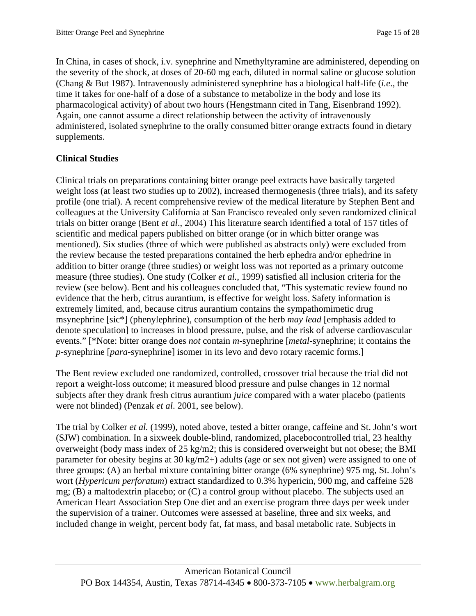In China, in cases of shock, i.v. synephrine and Nmethyltyramine are administered, depending on the severity of the shock, at doses of 20-60 mg each, diluted in normal saline or glucose solution (Chang & But 1987). Intravenously administered synephrine has a biological half-life (*i.e*., the time it takes for one-half of a dose of a substance to metabolize in the body and lose its pharmacological activity) of about two hours (Hengstmann cited in Tang, Eisenbrand 1992). Again, one cannot assume a direct relationship between the activity of intravenously administered, isolated synephrine to the orally consumed bitter orange extracts found in dietary supplements.

# **Clinical Studies**

Clinical trials on preparations containing bitter orange peel extracts have basically targeted weight loss (at least two studies up to 2002), increased thermogenesis (three trials), and its safety profile (one trial). A recent comprehensive review of the medical literature by Stephen Bent and colleagues at the University California at San Francisco revealed only seven randomized clinical trials on bitter orange (Bent *et al*., 2004) This literature search identified a total of 157 titles of scientific and medical papers published on bitter orange (or in which bitter orange was mentioned). Six studies (three of which were published as abstracts only) were excluded from the review because the tested preparations contained the herb ephedra and/or ephedrine in addition to bitter orange (three studies) or weight loss was not reported as a primary outcome measure (three studies). One study (Colker *et al.*, 1999) satisfied all inclusion criteria for the review (see below). Bent and his colleagues concluded that, "This systematic review found no evidence that the herb, citrus aurantium, is effective for weight loss. Safety information is extremely limited, and, because citrus aurantium contains the sympathomimetic drug msynephrine [sic\*] (phenylephrine), consumption of the herb *may lead* [emphasis added to denote speculation] to increases in blood pressure, pulse, and the risk of adverse cardiovascular events." [\*Note: bitter orange does *not* contain *m-*synephrine [*metal*-synephrine; it contains the *p*-synephrine [*para*-synephrine] isomer in its levo and devo rotary racemic forms.]

The Bent review excluded one randomized, controlled, crossover trial because the trial did not report a weight-loss outcome; it measured blood pressure and pulse changes in 12 normal subjects after they drank fresh citrus aurantium *juice* compared with a water placebo (patients were not blinded) (Penzak *et al*. 2001, see below).

The trial by Colker *et al.* (1999), noted above, tested a bitter orange, caffeine and St. John's wort (SJW) combination. In a sixweek double-blind, randomized, placebocontrolled trial, 23 healthy overweight (body mass index of 25 kg/m2; this is considered overweight but not obese; the BMI parameter for obesity begins at 30 kg/m2+) adults (age or sex not given) were assigned to one of three groups: (A) an herbal mixture containing bitter orange (6% synephrine) 975 mg, St. John's wort (*Hypericum perforatum*) extract standardized to 0.3% hypericin, 900 mg, and caffeine 528 mg; (B) a maltodextrin placebo; or (C) a control group without placebo. The subjects used an American Heart Association Step One diet and an exercise program three days per week under the supervision of a trainer. Outcomes were assessed at baseline, three and six weeks, and included change in weight, percent body fat, fat mass, and basal metabolic rate. Subjects in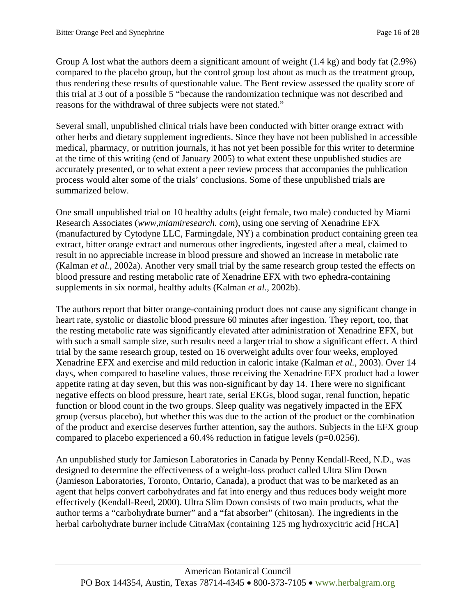Group A lost what the authors deem a significant amount of weight (1.4 kg) and body fat (2.9%) compared to the placebo group, but the control group lost about as much as the treatment group, thus rendering these results of questionable value. The Bent review assessed the quality score of this trial at 3 out of a possible 5 "because the randomization technique was not described and reasons for the withdrawal of three subjects were not stated."

Several small, unpublished clinical trials have been conducted with bitter orange extract with other herbs and dietary supplement ingredients. Since they have not been published in accessible medical, pharmacy, or nutrition journals, it has not yet been possible for this writer to determine at the time of this writing (end of January 2005) to what extent these unpublished studies are accurately presented, or to what extent a peer review process that accompanies the publication process would alter some of the trials' conclusions. Some of these unpublished trials are summarized below.

One small unpublished trial on 10 healthy adults (eight female, two male) conducted by Miami Research Associates (*www,miamiresearch. com*), using one serving of Xenadrine EFX (manufactured by Cytodyne LLC, Farmingdale, NY) a combination product containing green tea extract, bitter orange extract and numerous other ingredients, ingested after a meal, claimed to result in no appreciable increase in blood pressure and showed an increase in metabolic rate (Kalman *et al.,* 2002a). Another very small trial by the same research group tested the effects on blood pressure and resting metabolic rate of Xenadrine EFX with two ephedra-containing supplements in six normal, healthy adults (Kalman *et al.,* 2002b).

The authors report that bitter orange-containing product does not cause any significant change in heart rate, systolic or diastolic blood pressure 60 minutes after ingestion. They report, too, that the resting metabolic rate was significantly elevated after administration of Xenadrine EFX, but with such a small sample size, such results need a larger trial to show a significant effect. A third trial by the same research group, tested on 16 overweight adults over four weeks, employed Xenadrine EFX and exercise and mild reduction in caloric intake (Kalman *et al.,* 2003). Over 14 days, when compared to baseline values, those receiving the Xenadrine EFX product had a lower appetite rating at day seven, but this was non-significant by day 14. There were no significant negative effects on blood pressure, heart rate, serial EKGs, blood sugar, renal function, hepatic function or blood count in the two groups. Sleep quality was negatively impacted in the EFX group (versus placebo), but whether this was due to the action of the product or the combination of the product and exercise deserves further attention, say the authors. Subjects in the EFX group compared to placebo experienced a  $60.4\%$  reduction in fatigue levels ( $p=0.0256$ ).

An unpublished study for Jamieson Laboratories in Canada by Penny Kendall-Reed, N.D., was designed to determine the effectiveness of a weight-loss product called Ultra Slim Down (Jamieson Laboratories, Toronto, Ontario, Canada), a product that was to be marketed as an agent that helps convert carbohydrates and fat into energy and thus reduces body weight more effectively (Kendall-Reed, 2000). Ultra Slim Down consists of two main products, what the author terms a "carbohydrate burner" and a "fat absorber" (chitosan). The ingredients in the herbal carbohydrate burner include CitraMax (containing 125 mg hydroxycitric acid [HCA]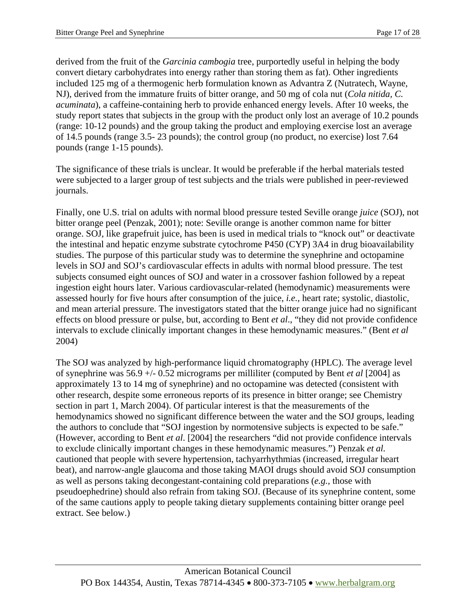derived from the fruit of the *Garcinia cambogia* tree, purportedly useful in helping the body convert dietary carbohydrates into energy rather than storing them as fat). Other ingredients included 125 mg of a thermogenic herb formulation known as Advantra Z (Nutratech, Wayne, NJ), derived from the immature fruits of bitter orange, and 50 mg of cola nut (*Cola nitida, C. acuminata*), a caffeine-containing herb to provide enhanced energy levels. After 10 weeks, the study report states that subjects in the group with the product only lost an average of 10.2 pounds (range: 10-12 pounds) and the group taking the product and employing exercise lost an average of 14.5 pounds (range 3.5- 23 pounds); the control group (no product, no exercise) lost 7.64 pounds (range 1-15 pounds).

The significance of these trials is unclear. It would be preferable if the herbal materials tested were subjected to a larger group of test subjects and the trials were published in peer-reviewed journals.

Finally, one U.S. trial on adults with normal blood pressure tested Seville orange *juice* (SOJ), not bitter orange peel (Penzak, 2001); note: Seville orange is another common name for bitter orange. SOJ, like grapefruit juice, has been is used in medical trials to "knock out" or deactivate the intestinal and hepatic enzyme substrate cytochrome P450 (CYP) 3A4 in drug bioavailability studies. The purpose of this particular study was to determine the synephrine and octopamine levels in SOJ and SOJ's cardiovascular effects in adults with normal blood pressure. The test subjects consumed eight ounces of SOJ and water in a crossover fashion followed by a repeat ingestion eight hours later. Various cardiovascular-related (hemodynamic) measurements were assessed hourly for five hours after consumption of the juice, *i.e.,* heart rate; systolic, diastolic, and mean arterial pressure. The investigators stated that the bitter orange juice had no significant effects on blood pressure or pulse, but, according to Bent *et al*., "they did not provide confidence intervals to exclude clinically important changes in these hemodynamic measures." (Bent *et al*  2004)

The SOJ was analyzed by high-performance liquid chromatography (HPLC). The average level of synephrine was 56.9 +/- 0.52 micrograms per milliliter (computed by Bent *et al* [2004] as approximately 13 to 14 mg of synephrine) and no octopamine was detected (consistent with other research, despite some erroneous reports of its presence in bitter orange; see Chemistry section in part 1, March 2004). Of particular interest is that the measurements of the hemodynamics showed no significant difference between the water and the SOJ groups, leading the authors to conclude that "SOJ ingestion by normotensive subjects is expected to be safe." (However, according to Bent *et al*. [2004] the researchers "did not provide confidence intervals to exclude clinically important changes in these hemodynamic measures.") Penzak *et al.*  cautioned that people with severe hypertension, tachyarrhythmias (increased, irregular heart beat), and narrow-angle glaucoma and those taking MAOI drugs should avoid SOJ consumption as well as persons taking decongestant-containing cold preparations (*e.g.,* those with pseudoephedrine) should also refrain from taking SOJ. (Because of its synephrine content, some of the same cautions apply to people taking dietary supplements containing bitter orange peel extract. See below.)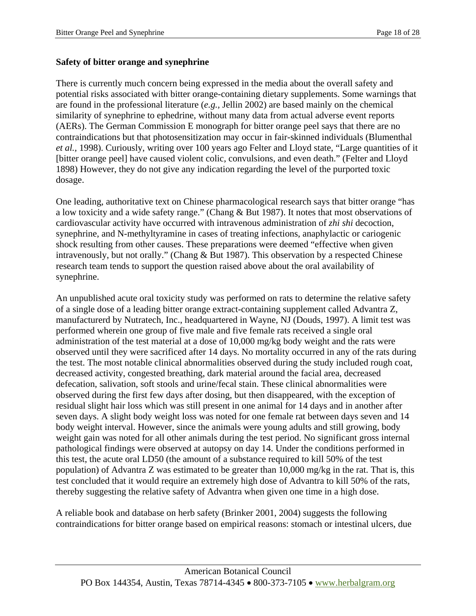#### **Safety of bitter orange and synephrine**

There is currently much concern being expressed in the media about the overall safety and potential risks associated with bitter orange-containing dietary supplements. Some warnings that are found in the professional literature (*e.g.,* Jellin 2002) are based mainly on the chemical similarity of synephrine to ephedrine, without many data from actual adverse event reports (AERs). The German Commission E monograph for bitter orange peel says that there are no contraindications but that photosensitization may occur in fair-skinned individuals (Blumenthal *et al.,* 1998). Curiously, writing over 100 years ago Felter and Lloyd state, "Large quantities of it [bitter orange peel] have caused violent colic, convulsions, and even death." (Felter and Lloyd 1898) However, they do not give any indication regarding the level of the purported toxic dosage.

One leading, authoritative text on Chinese pharmacological research says that bitter orange "has a low toxicity and a wide safety range." (Chang & But 1987). It notes that most observations of cardiovascular activity have occurred with intravenous administration of *zhi shi* decoction, synephrine, and N-methyltyramine in cases of treating infections, anaphylactic or cariogenic shock resulting from other causes. These preparations were deemed "effective when given intravenously, but not orally." (Chang & But 1987). This observation by a respected Chinese research team tends to support the question raised above about the oral availability of synephrine.

An unpublished acute oral toxicity study was performed on rats to determine the relative safety of a single dose of a leading bitter orange extract-containing supplement called Advantra Z, manufacturerd by Nutratech, Inc., headquartered in Wayne, NJ (Douds, 1997). A limit test was performed wherein one group of five male and five female rats received a single oral administration of the test material at a dose of 10,000 mg/kg body weight and the rats were observed until they were sacrificed after 14 days. No mortality occurred in any of the rats during the test. The most notable clinical abnormalities observed during the study included rough coat, decreased activity, congested breathing, dark material around the facial area, decreased defecation, salivation, soft stools and urine/fecal stain. These clinical abnormalities were observed during the first few days after dosing, but then disappeared, with the exception of residual slight hair loss which was still present in one animal for 14 days and in another after seven days. A slight body weight loss was noted for one female rat between days seven and 14 body weight interval. However, since the animals were young adults and still growing, body weight gain was noted for all other animals during the test period. No significant gross internal pathological findings were observed at autopsy on day 14. Under the conditions performed in this test, the acute oral LD50 (the amount of a substance required to kill 50% of the test population) of Advantra Z was estimated to be greater than 10,000 mg/kg in the rat. That is, this test concluded that it would require an extremely high dose of Advantra to kill 50% of the rats, thereby suggesting the relative safety of Advantra when given one time in a high dose.

A reliable book and database on herb safety (Brinker 2001, 2004) suggests the following contraindications for bitter orange based on empirical reasons: stomach or intestinal ulcers, due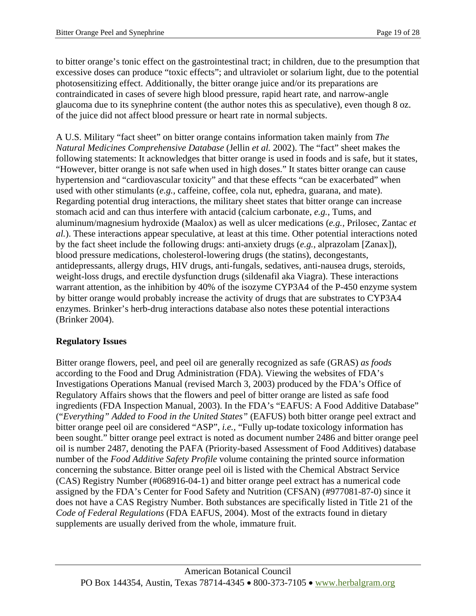to bitter orange's tonic effect on the gastrointestinal tract; in children, due to the presumption that excessive doses can produce "toxic effects"; and ultraviolet or solarium light, due to the potential photosensitizing effect. Additionally, the bitter orange juice and/or its preparations are contraindicated in cases of severe high blood pressure, rapid heart rate, and narrow-angle glaucoma due to its synephrine content (the author notes this as speculative), even though 8 oz. of the juice did not affect blood pressure or heart rate in normal subjects.

A U.S. Military "fact sheet" on bitter orange contains information taken mainly from *The Natural Medicines Comprehensive Database* (Jellin *et al.* 2002). The "fact" sheet makes the following statements: It acknowledges that bitter orange is used in foods and is safe, but it states, "However, bitter orange is not safe when used in high doses." It states bitter orange can cause hypertension and "cardiovascular toxicity" and that these effects "can be exacerbated" when used with other stimulants (*e.g.,* caffeine, coffee, cola nut, ephedra, guarana, and mate). Regarding potential drug interactions, the military sheet states that bitter orange can increase stomach acid and can thus interfere with antacid (calcium carbonate, *e.g.,* Tums, and aluminum/magnesium hydroxide (Maalox) as well as ulcer medications (*e.g.,* Prilosec, Zantac *et al.*). These interactions appear speculative, at least at this time. Other potential interactions noted by the fact sheet include the following drugs: anti-anxiety drugs (*e.g.,* alprazolam [Zanax]), blood pressure medications, cholesterol-lowering drugs (the statins), decongestants, antidepressants, allergy drugs, HIV drugs, anti-fungals, sedatives, anti-nausea drugs, steroids, weight-loss drugs, and erectile dysfunction drugs (sildenafil aka Viagra). These interactions warrant attention, as the inhibition by 40% of the isozyme CYP3A4 of the P-450 enzyme system by bitter orange would probably increase the activity of drugs that are substrates to CYP3A4 enzymes. Brinker's herb-drug interactions database also notes these potential interactions (Brinker 2004).

## **Regulatory Issues**

Bitter orange flowers, peel, and peel oil are generally recognized as safe (GRAS) *as foods*  according to the Food and Drug Administration (FDA). Viewing the websites of FDA's Investigations Operations Manual (revised March 3, 2003) produced by the FDA's Office of Regulatory Affairs shows that the flowers and peel of bitter orange are listed as safe food ingredients (FDA Inspection Manual, 2003). In the FDA's "EAFUS: A Food Additive Database" ("*Everything" Added to Food in the United States"* (EAFUS) both bitter orange peel extract and bitter orange peel oil are considered "ASP", *i.e.,* "Fully up-todate toxicology information has been sought." bitter orange peel extract is noted as document number 2486 and bitter orange peel oil is number 2487, denoting the PAFA (Priority-based Assessment of Food Additives) database number of the *Food Additive Safety Profile* volume containing the printed source information concerning the substance. Bitter orange peel oil is listed with the Chemical Abstract Service (CAS) Registry Number (#068916-04-1) and bitter orange peel extract has a numerical code assigned by the FDA's Center for Food Safety and Nutrition (CFSAN) (#977081-87-0) since it does not have a CAS Registry Number. Both substances are specifically listed in Title 21 of the *Code of Federal Regulations* (FDA EAFUS, 2004). Most of the extracts found in dietary supplements are usually derived from the whole, immature fruit.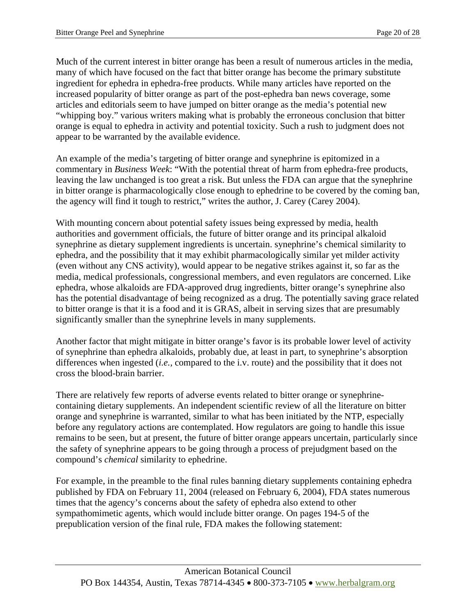Much of the current interest in bitter orange has been a result of numerous articles in the media, many of which have focused on the fact that bitter orange has become the primary substitute ingredient for ephedra in ephedra-free products. While many articles have reported on the increased popularity of bitter orange as part of the post-ephedra ban news coverage, some articles and editorials seem to have jumped on bitter orange as the media's potential new "whipping boy." various writers making what is probably the erroneous conclusion that bitter orange is equal to ephedra in activity and potential toxicity. Such a rush to judgment does not appear to be warranted by the available evidence.

An example of the media's targeting of bitter orange and synephrine is epitomized in a commentary in *Business Week*: "With the potential threat of harm from ephedra-free products, leaving the law unchanged is too great a risk. But unless the FDA can argue that the synephrine in bitter orange is pharmacologically close enough to ephedrine to be covered by the coming ban, the agency will find it tough to restrict," writes the author, J. Carey (Carey 2004).

With mounting concern about potential safety issues being expressed by media, health authorities and government officials, the future of bitter orange and its principal alkaloid synephrine as dietary supplement ingredients is uncertain. synephrine's chemical similarity to ephedra, and the possibility that it may exhibit pharmacologically similar yet milder activity (even without any CNS activity), would appear to be negative strikes against it, so far as the media, medical professionals, congressional members, and even regulators are concerned. Like ephedra, whose alkaloids are FDA-approved drug ingredients, bitter orange's synephrine also has the potential disadvantage of being recognized as a drug. The potentially saving grace related to bitter orange is that it is a food and it is GRAS, albeit in serving sizes that are presumably significantly smaller than the synephrine levels in many supplements.

Another factor that might mitigate in bitter orange's favor is its probable lower level of activity of synephrine than ephedra alkaloids, probably due, at least in part, to synephrine's absorption differences when ingested (*i.e.,* compared to the i.v. route) and the possibility that it does not cross the blood-brain barrier.

There are relatively few reports of adverse events related to bitter orange or synephrinecontaining dietary supplements. An independent scientific review of all the literature on bitter orange and synephrine is warranted, similar to what has been initiated by the NTP, especially before any regulatory actions are contemplated. How regulators are going to handle this issue remains to be seen, but at present, the future of bitter orange appears uncertain, particularly since the safety of synephrine appears to be going through a process of prejudgment based on the compound's *chemical* similarity to ephedrine.

For example, in the preamble to the final rules banning dietary supplements containing ephedra published by FDA on February 11, 2004 (released on February 6, 2004), FDA states numerous times that the agency's concerns about the safety of ephedra also extend to other sympathomimetic agents, which would include bitter orange. On pages 194-5 of the prepublication version of the final rule, FDA makes the following statement: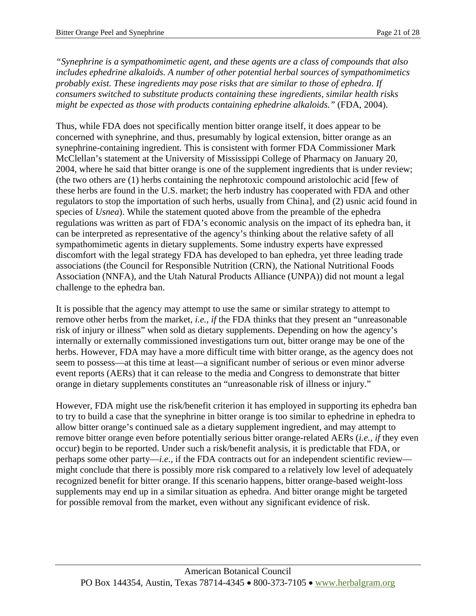*"Synephrine is a sympathomimetic agent, and these agents are a class of compounds that also includes ephedrine alkaloids. A number of other potential herbal sources of sympathomimetics probably exist. These ingredients may pose risks that are similar to those of ephedra. If consumers switched to substitute products containing these ingredients, similar health risks might be expected as those with products containing ephedrine alkaloids."* (FDA, 2004).

Thus, while FDA does not specifically mention bitter orange itself, it does appear to be concerned with synephrine, and thus, presumably by logical extension, bitter orange as an synephrine-containing ingredient. This is consistent with former FDA Commissioner Mark McClellan's statement at the University of Mississippi College of Pharmacy on January 20, 2004, where he said that bitter orange is one of the supplement ingredients that is under review; (the two others are (1) herbs containing the nephrotoxic compound aristolochic acid [few of these herbs are found in the U.S. market; the herb industry has cooperated with FDA and other regulators to stop the importation of such herbs, usually from China], and (2) usnic acid found in species of *Usnea*). While the statement quoted above from the preamble of the ephedra regulations was written as part of FDA's economic analysis on the impact of its ephedra ban, it can be interpreted as representative of the agency's thinking about the relative safety of all sympathomimetic agents in dietary supplements. Some industry experts have expressed discomfort with the legal strategy FDA has developed to ban ephedra, yet three leading trade associations (the Council for Responsible Nutrition (CRN), the National Nutritional Foods Association (NNFA), and the Utah Natural Products Alliance (UNPA)) did not mount a legal challenge to the ephedra ban.

It is possible that the agency may attempt to use the same or similar strategy to attempt to remove other herbs from the market, *i.e., if* the FDA thinks that they present an "unreasonable risk of injury or illness" when sold as dietary supplements. Depending on how the agency's internally or externally commissioned investigations turn out, bitter orange may be one of the herbs. However, FDA may have a more difficult time with bitter orange, as the agency does not seem to possess—at this time at least—a significant number of serious or even minor adverse event reports (AERs) that it can release to the media and Congress to demonstrate that bitter orange in dietary supplements constitutes an "unreasonable risk of illness or injury."

However, FDA might use the risk/benefit criterion it has employed in supporting its ephedra ban to try to build a case that the synephrine in bitter orange is too similar to ephedrine in ephedra to allow bitter orange's continued sale as a dietary supplement ingredient, and may attempt to remove bitter orange even before potentially serious bitter orange-related AERs (*i.e., if* they even occur) begin to be reported. Under such a risk/benefit analysis, it is predictable that FDA, or perhaps some other party—*i.e.,* if the FDA contracts out for an independent scientific review might conclude that there is possibly more risk compared to a relatively low level of adequately recognized benefit for bitter orange. If this scenario happens, bitter orange-based weight-loss supplements may end up in a similar situation as ephedra. And bitter orange might be targeted for possible removal from the market, even without any significant evidence of risk.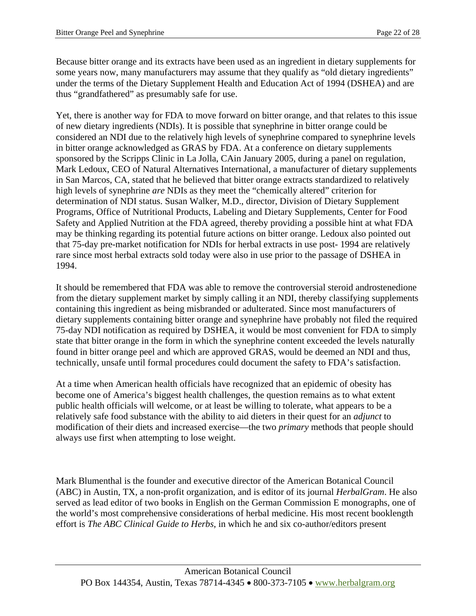Because bitter orange and its extracts have been used as an ingredient in dietary supplements for some years now, many manufacturers may assume that they qualify as "old dietary ingredients" under the terms of the Dietary Supplement Health and Education Act of 1994 (DSHEA) and are thus "grandfathered" as presumably safe for use.

Yet, there is another way for FDA to move forward on bitter orange, and that relates to this issue of new dietary ingredients (NDIs). It is possible that synephrine in bitter orange could be considered an NDI due to the relatively high levels of synephrine compared to synephrine levels in bitter orange acknowledged as GRAS by FDA. At a conference on dietary supplements sponsored by the Scripps Clinic in La Jolla, CAin January 2005, during a panel on regulation, Mark Ledoux, CEO of Natural Alternatives International, a manufacturer of dietary supplements in San Marcos, CA, stated that he believed that bitter orange extracts standardized to relatively high levels of synephrine *are* NDIs as they meet the "chemically altered" criterion for determination of NDI status. Susan Walker, M.D., director, Division of Dietary Supplement Programs, Office of Nutritional Products, Labeling and Dietary Supplements, Center for Food Safety and Applied Nutrition at the FDA agreed, thereby providing a possible hint at what FDA may be thinking regarding its potential future actions on bitter orange. Ledoux also pointed out that 75-day pre-market notification for NDIs for herbal extracts in use post- 1994 are relatively rare since most herbal extracts sold today were also in use prior to the passage of DSHEA in 1994.

It should be remembered that FDA was able to remove the controversial steroid androstenedione from the dietary supplement market by simply calling it an NDI, thereby classifying supplements containing this ingredient as being misbranded or adulterated. Since most manufacturers of dietary supplements containing bitter orange and synephrine have probably not filed the required 75-day NDI notification as required by DSHEA, it would be most convenient for FDA to simply state that bitter orange in the form in which the synephrine content exceeded the levels naturally found in bitter orange peel and which are approved GRAS, would be deemed an NDI and thus, technically, unsafe until formal procedures could document the safety to FDA's satisfaction.

At a time when American health officials have recognized that an epidemic of obesity has become one of America's biggest health challenges, the question remains as to what extent public health officials will welcome, or at least be willing to tolerate, what appears to be a relatively safe food substance with the ability to aid dieters in their quest for an *adjunct* to modification of their diets and increased exercise—the two *primary* methods that people should always use first when attempting to lose weight.

Mark Blumenthal is the founder and executive director of the American Botanical Council (ABC) in Austin, TX, a non-profit organization, and is editor of its journal *HerbalGram*. He also served as lead editor of two books in English on the German Commission E monographs, one of the world's most comprehensive considerations of herbal medicine. His most recent booklength effort is *The ABC Clinical Guide to Herbs*, in which he and six co-author/editors present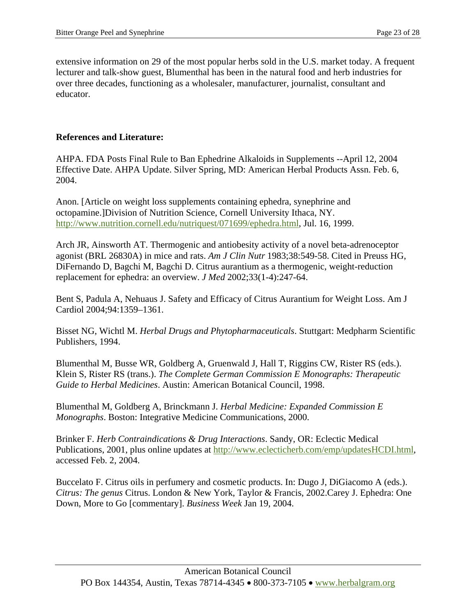extensive information on 29 of the most popular herbs sold in the U.S. market today. A frequent lecturer and talk-show guest, Blumenthal has been in the natural food and herb industries for over three decades, functioning as a wholesaler, manufacturer, journalist, consultant and educator.

#### **References and Literature:**

AHPA. FDA Posts Final Rule to Ban Ephedrine Alkaloids in Supplements --April 12, 2004 Effective Date. AHPA Update. Silver Spring, MD: American Herbal Products Assn. Feb. 6, 2004.

Anon. [Article on weight loss supplements containing ephedra, synephrine and octopamine.]Division of Nutrition Science, Cornell University Ithaca, NY. <http://www.nutrition.cornell.edu/nutriquest/071699/ephedra.html>, Jul. 16, 1999.

Arch JR, Ainsworth AT. Thermogenic and antiobesity activity of a novel beta-adrenoceptor agonist (BRL 26830A) in mice and rats. *Am J Clin Nutr* 1983;38:549-58. Cited in Preuss HG, DiFernando D, Bagchi M, Bagchi D. Citrus aurantium as a thermogenic, weight-reduction replacement for ephedra: an overview. *J Med* 2002;33(1-4):247-64.

Bent S, Padula A, Nehuaus J. Safety and Efficacy of Citrus Aurantium for Weight Loss. Am J Cardiol 2004;94:1359–1361.

Bisset NG, Wichtl M. *Herbal Drugs and Phytopharmaceuticals*. Stuttgart: Medpharm Scientific Publishers, 1994.

Blumenthal M, Busse WR, Goldberg A, Gruenwald J, Hall T, Riggins CW, Rister RS (eds.). Klein S, Rister RS (trans.). *The Complete German Commission E Monographs: Therapeutic Guide to Herbal Medicines*. Austin: American Botanical Council, 1998.

Blumenthal M, Goldberg A, Brinckmann J. *Herbal Medicine: Expanded Commission E Monographs*. Boston: Integrative Medicine Communications, 2000.

Brinker F. *Herb Contraindications & Drug Interactions*. Sandy, OR: Eclectic Medical Publications, 2001, plus online updates at <http://www.eclecticherb.com/emp/updatesHCDI.html>, accessed Feb. 2, 2004.

Buccelato F. Citrus oils in perfumery and cosmetic products. In: Dugo J, DiGiacomo A (eds.). *Citrus: The genus* Citrus. London & New York, Taylor & Francis, 2002.Carey J. Ephedra: One Down, More to Go [commentary]. *Business Week* Jan 19, 2004.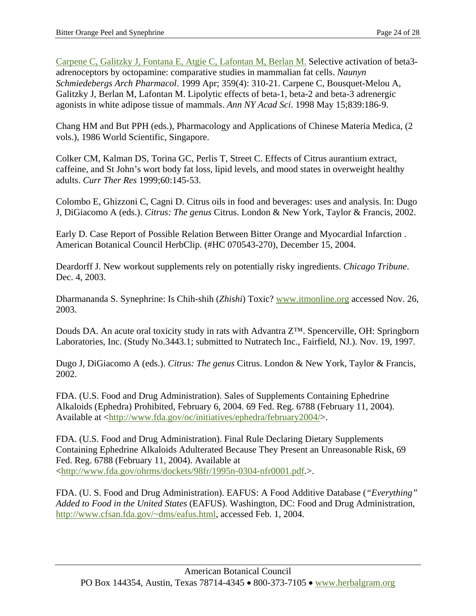[Carpene C, Galitzky J, Fontana E, Atgie C, Lafontan M, Berlan M.](http://www.ncbi.nlm.nih.gov/entrez/query.fcgi?cmd=Retrieve&db=PubMed&list_uids=10344530&dopt=Abstract) Selective activation of beta3 adrenoceptors by octopamine: comparative studies in mammalian fat cells. *Naunyn Schmiedebergs Arch Pharmacol*. 1999 Apr; 359(4): 310-21. Carpene C, Bousquet-Melou A, Galitzky J, Berlan M, Lafontan M. Lipolytic effects of beta-1, beta-2 and beta-3 adrenergic agonists in white adipose tissue of mammals. *Ann NY Acad Sci*. 1998 May 15;839:186-9.

Chang HM and But PPH (eds.), Pharmacology and Applications of Chinese Materia Medica, (2 vols.), 1986 World Scientific, Singapore.

Colker CM, Kalman DS, Torina GC, Perlis T, Street C. Effects of Citrus aurantium extract, caffeine, and St John's wort body fat loss, lipid levels, and mood states in overweight healthy adults. *Curr Ther Res* 1999;60:145-53.

Colombo E, Ghizzoni C, Cagni D. Citrus oils in food and beverages: uses and analysis. In: Dugo J, DiGiacomo A (eds.). *Citrus: The genus* Citrus. London & New York, Taylor & Francis, 2002.

Early D. Case Report of Possible Relation Between Bitter Orange and Myocardial Infarction . American Botanical Council HerbClip. (#HC 070543-270), December 15, 2004.

Deardorff J. New workout supplements rely on potentially risky ingredients. *Chicago Tribune*. Dec. 4, 2003.

Dharmananda S. Synephrine: Is Chih-shih (*Zhishi*) Toxic? [www.itmonline.org](http://www.itmonline.org/) accessed Nov. 26, 2003.

Douds DA. An acute oral toxicity study in rats with Advantra Z<sup>™</sup>. Spencerville, OH: Springborn Laboratories, Inc. (Study No.3443.1; submitted to Nutratech Inc., Fairfield, NJ.). Nov. 19, 1997.

Dugo J, DiGiacomo A (eds.). *Citrus: The genus* Citrus. London & New York, Taylor & Francis, 2002.

FDA. (U.S. Food and Drug Administration). Sales of Supplements Containing Ephedrine Alkaloids (Ephedra) Prohibited, February 6, 2004. 69 Fed. Reg. 6788 (February 11, 2004). Available at [<http://www.fda.gov/oc/initiatives/ephedra/february2004/>](http://www.fda.gov/oc/initiatives/ephedra/february2004/).

FDA. (U.S. Food and Drug Administration). Final Rule Declaring Dietary Supplements Containing Ephedrine Alkaloids Adulterated Because They Present an Unreasonable Risk, 69 Fed. Reg. 6788 (February 11, 2004). Available at <[http://www.fda.gov/ohrms/dockets/98fr/1995n-0304-nfr0001.pdf.](http://www.fda.gov/ohrms/dockets/98fr/1995n-0304-nfr0001.pdf)>.

FDA. (U. S. Food and Drug Administration). EAFUS: A Food Additive Database (*"Everything" Added to Food in the United States* (EAFUS). Washington, DC: Food and Drug Administration, [http://www.cfsan.fda.gov/~dms/eafus.html,](http://www.cfsan.fda.gov/%7Edms/eafus.html) accessed Feb. 1, 2004.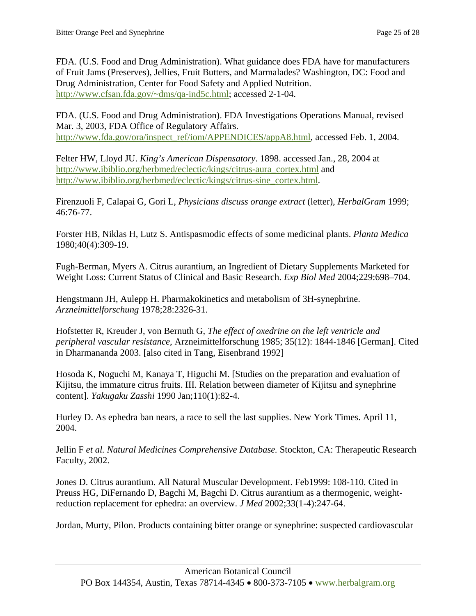FDA. (U.S. Food and Drug Administration). What guidance does FDA have for manufacturers of Fruit Jams (Preserves), Jellies, Fruit Butters, and Marmalades? Washington, DC: Food and Drug Administration, Center for Food Safety and Applied Nutrition. [http://www.cfsan.fda.gov/~dms/qa-ind5c.html](http://www.cfsan.fda.gov/%7Edms/qa-ind5c.html); accessed 2-1-04.

FDA. (U.S. Food and Drug Administration). FDA Investigations Operations Manual, revised Mar. 3, 2003, FDA Office of Regulatory Affairs. [http://www.fda.gov/ora/inspect\\_ref/iom/APPENDICES/appA8.html,](http://www.fda.gov/ora/inspect_ref/iom/APPENDICES/appA8.html) accessed Feb. 1, 2004.

Felter HW, Lloyd JU. *King's American Dispensatory*. 1898. accessed Jan., 28, 2004 at [http://www.ibiblio.org/herbmed/eclectic/kings/citrus-aura\\_cortex.html](http://www.ibiblio.org/herbmed/eclectic/kings/citrus-aura_cortex.html) and [http://www.ibiblio.org/herbmed/eclectic/kings/citrus-sine\\_cortex.html.](http://www.ibiblio.org/herbmed/eclectic/kings/citrus-sine_cortex.html)

Firenzuoli F, Calapai G, Gori L, *Physicians discuss orange extract* (letter), *HerbalGram* 1999; 46:76-77.

Forster HB, Niklas H, Lutz S. Antispasmodic effects of some medicinal plants. *Planta Medica* 1980;40(4):309-19.

Fugh-Berman, Myers A. Citrus aurantium, an Ingredient of Dietary Supplements Marketed for Weight Loss: Current Status of Clinical and Basic Research. *Exp Biol Med* 2004;229:698–704.

Hengstmann JH, Aulepp H. Pharmakokinetics and metabolism of 3H-synephrine. *Arzneimittelforschung* 1978;28:2326-31.

Hofstetter R, Kreuder J, von Bernuth G, *The effect of oxedrine on the left ventricle and peripheral vascular resistance*, Arzneimittelforschung 1985; 35(12): 1844-1846 [German]. Cited in Dharmananda 2003. [also cited in Tang, Eisenbrand 1992]

Hosoda K, Noguchi M, Kanaya T, Higuchi M. [Studies on the preparation and evaluation of Kijitsu, the immature citrus fruits. III. Relation between diameter of Kijitsu and synephrine content]. *Yakugaku Zasshi* 1990 Jan;110(1):82-4.

Hurley D. As ephedra ban nears, a race to sell the last supplies. New York Times. April 11, 2004.

Jellin F *et al. Natural Medicines Comprehensive Database.* Stockton, CA: Therapeutic Research Faculty, 2002.

Jones D. Citrus aurantium. All Natural Muscular Development. Feb1999: 108-110. Cited in Preuss HG, DiFernando D, Bagchi M, Bagchi D. Citrus aurantium as a thermogenic, weightreduction replacement for ephedra: an overview. *J Med* 2002;33(1-4):247-64.

Jordan, Murty, Pilon. Products containing bitter orange or synephrine: suspected cardiovascular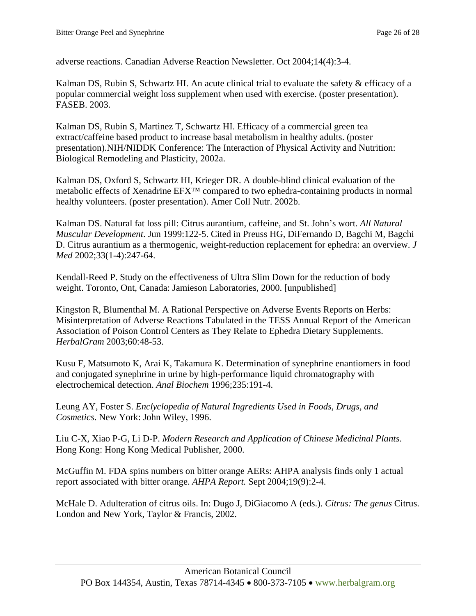adverse reactions. Canadian Adverse Reaction Newsletter. Oct 2004;14(4):3-4.

Kalman DS, Rubin S, Schwartz HI. An acute clinical trial to evaluate the safety & efficacy of a popular commercial weight loss supplement when used with exercise. (poster presentation). FASEB. 2003.

Kalman DS, Rubin S, Martinez T, Schwartz HI. Efficacy of a commercial green tea extract/caffeine based product to increase basal metabolism in healthy adults. (poster presentation).NIH/NIDDK Conference: The Interaction of Physical Activity and Nutrition: Biological Remodeling and Plasticity, 2002a.

Kalman DS, Oxford S, Schwartz HI, Krieger DR. A double-blind clinical evaluation of the metabolic effects of Xenadrine EFX™ compared to two ephedra-containing products in normal healthy volunteers. (poster presentation). Amer Coll Nutr. 2002b.

Kalman DS. Natural fat loss pill: Citrus aurantium, caffeine, and St. John's wort. *All Natural Muscular Development*. Jun 1999:122-5. Cited in Preuss HG, DiFernando D, Bagchi M, Bagchi D. Citrus aurantium as a thermogenic, weight-reduction replacement for ephedra: an overview. *J Med* 2002;33(1-4):247-64.

Kendall-Reed P. Study on the effectiveness of Ultra Slim Down for the reduction of body weight. Toronto, Ont, Canada: Jamieson Laboratories, 2000. [unpublished]

Kingston R, Blumenthal M. A Rational Perspective on Adverse Events Reports on Herbs: Misinterpretation of Adverse Reactions Tabulated in the TESS Annual Report of the American Association of Poison Control Centers as They Relate to Ephedra Dietary Supplements. *HerbalGram* 2003;60:48-53.

Kusu F, Matsumoto K, Arai K, Takamura K. Determination of synephrine enantiomers in food and conjugated synephrine in urine by high-performance liquid chromatography with electrochemical detection. *Anal Biochem* 1996;235:191-4.

Leung AY, Foster S. *Enclyclopedia of Natural Ingredients Used in Foods, Drugs, and Cosmetics*. New York: John Wiley, 1996.

Liu C-X, Xiao P-G, Li D-P. *Modern Research and Application of Chinese Medicinal Plants*. Hong Kong: Hong Kong Medical Publisher, 2000.

McGuffin M. FDA spins numbers on bitter orange AERs: AHPA analysis finds only 1 actual report associated with bitter orange. *AHPA Report.* Sept 2004;19(9):2-4.

McHale D. Adulteration of citrus oils. In: Dugo J, DiGiacomo A (eds.). *Citrus: The genus* Citrus. London and New York, Taylor & Francis, 2002.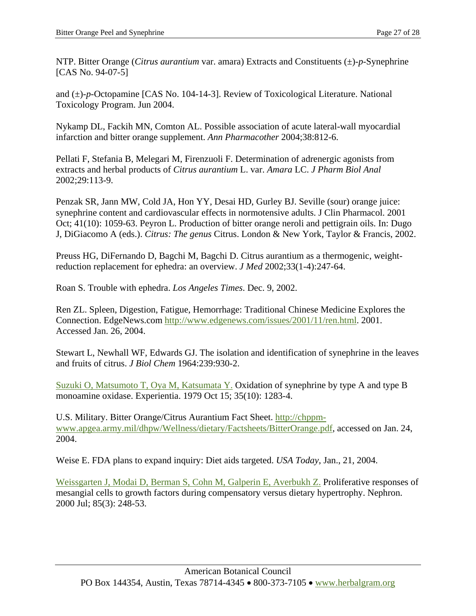NTP. Bitter Orange (*Citrus aurantium* var. amara) Extracts and Constituents (±)-*p*-Synephrine [CAS No. 94-07-5]

and (±)-*p*-Octopamine [CAS No. 104-14-3]. Review of Toxicological Literature. National Toxicology Program. Jun 2004.

Nykamp DL, Fackih MN, Comton AL. Possible association of acute lateral-wall myocardial infarction and bitter orange supplement. *Ann Pharmacother* 2004;38:812-6.

Pellati F, Stefania B, Melegari M, Firenzuoli F. Determination of adrenergic agonists from extracts and herbal products of *Citrus aurantium* L. var. *Amara* LC. *J Pharm Biol Anal* 2002;29:113-9.

Penzak SR, Jann MW, Cold JA, Hon YY, Desai HD, Gurley BJ. Seville (sour) orange juice: synephrine content and cardiovascular effects in normotensive adults. J Clin Pharmacol. 2001 Oct; 41(10): 1059-63. Peyron L. Production of bitter orange neroli and pettigrain oils. In: Dugo J, DiGiacomo A (eds.). *Citrus: The genus* Citrus. London & New York, Taylor & Francis, 2002.

Preuss HG, DiFernando D, Bagchi M, Bagchi D. Citrus aurantium as a thermogenic, weightreduction replacement for ephedra: an overview. *J Med* 2002;33(1-4):247-64.

Roan S. Trouble with ephedra. *Los Angeles Times*. Dec. 9, 2002.

Ren ZL. Spleen, Digestion, Fatigue, Hemorrhage: Traditional Chinese Medicine Explores the Connection. EdgeNews.com [http://www.edgenews.com/issues/2001/11/ren.html.](http://www.edgenews.com/issues/2001/11/ren.html) 2001. Accessed Jan. 26, 2004.

Stewart L, Newhall WF, Edwards GJ. The isolation and identification of synephrine in the leaves and fruits of citrus. *J Biol Chem* 1964:239:930-2.

[Suzuki O, Matsumoto T, Oya M, Katsumata Y.](http://www.ncbi.nlm.nih.gov/entrez/query.fcgi?cmd=Retrieve&db=PubMed&list_uids=499398&dopt=Abstract) Oxidation of synephrine by type A and type B monoamine oxidase. Experientia. 1979 Oct 15; 35(10): 1283-4.

U.S. Military. Bitter Orange/Citrus Aurantium Fact Sheet. [http://chppm](http://chppm-www.apgea.army.mil/dhpw/Wellness/dietary/Factsheets/BitterOrange.pdf)[www.apgea.army.mil/dhpw/Wellness/dietary/Factsheets/BitterOrange.pdf,](http://chppm-www.apgea.army.mil/dhpw/Wellness/dietary/Factsheets/BitterOrange.pdf) accessed on Jan. 24, 2004.

Weise E. FDA plans to expand inquiry: Diet aids targeted. *USA Today*, Jan., 21, 2004.

[Weissgarten J, Modai D, Berman S, Cohn M, Galperin E, Averbukh Z.](http://www.ncbi.nlm.nih.gov/entrez/query.fcgi?cmd=Retrieve&db=PubMed&list_uids=10867540&dopt=Abstract) Proliferative responses of mesangial cells to growth factors during compensatory versus dietary hypertrophy. Nephron. 2000 Jul; 85(3): 248-53.